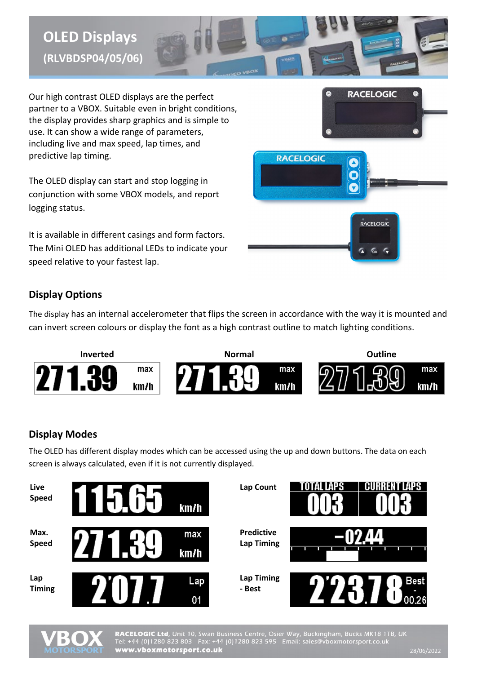# **OLED Displays (RLVBDSP04/05/06)**



Our high contrast OLED displays are the perfect partner to a VBOX. Suitable even in bright conditions, the display provides sharp graphics and is simple to use. It can show a wide range of parameters, including live and max speed, lap times, and predictive lap timing.

The OLED display can start and stop logging in conjunction with some VBOX models, and report logging status.

It is available in different casings and form factors. The Mini OLED has additional LEDs to indicate your speed relative to your fastest lap.



# **Display Options**

The display has an internal accelerometer that flips the screen in accordance with the way it is mounted and can invert screen colours or display the font as a high contrast outline to match lighting conditions.



## **Display Modes**

The OLED has different display modes which can be accessed using the up and down buttons. The data on each screen is always calculated, even if it is not currently displayed.



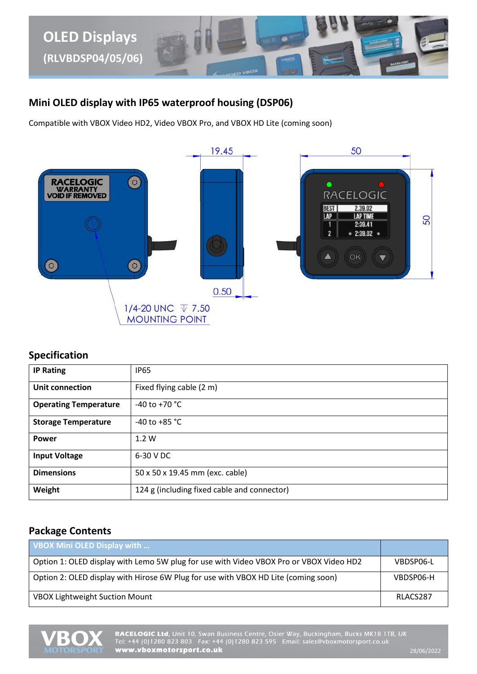

### **Mini OLED display with IP65 waterproof housing (DSP06)**

Compatible with VBOX Video HD2, Video VBOX Pro, and VBOX HD Lite (coming soon)



#### **Specification**

| <b>IP Rating</b>             | <b>IP65</b>                                 |  |  |
|------------------------------|---------------------------------------------|--|--|
| Unit connection              | Fixed flying cable (2 m)                    |  |  |
| <b>Operating Temperature</b> | $-40$ to $+70$ °C                           |  |  |
| <b>Storage Temperature</b>   | $-40$ to $+85$ °C                           |  |  |
| <b>Power</b>                 | 1.2 W                                       |  |  |
| <b>Input Voltage</b>         | 6-30 V DC                                   |  |  |
| <b>Dimensions</b>            | 50 x 50 x 19.45 mm (exc. cable)             |  |  |
| Weight                       | 124 g (including fixed cable and connector) |  |  |

### **Package Contents**

| VBOX Mini OLED Display with                                                            |           |
|----------------------------------------------------------------------------------------|-----------|
| Option 1: OLED display with Lemo 5W plug for use with Video VBOX Pro or VBOX Video HD2 | VBDSP06-L |
| Option 2: OLED display with Hirose 6W Plug for use with VBOX HD Lite (coming soon)     | VBDSP06-H |
| <b>VBOX Lightweight Suction Mount</b>                                                  | RLACS287  |

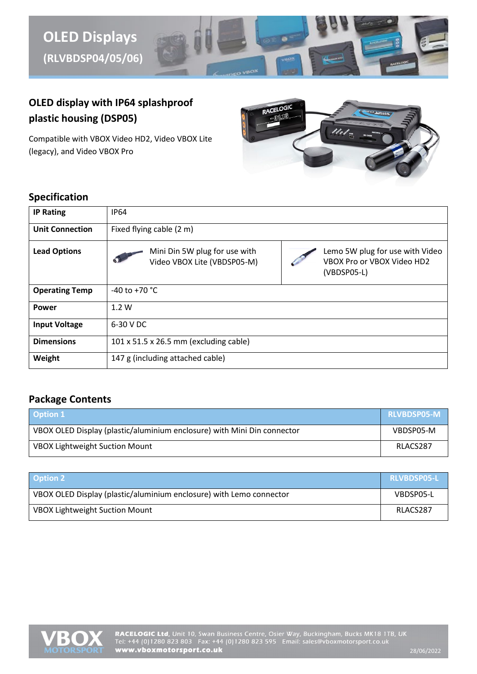

# **OLED display with IP64 splashproof plastic housing (DSP05)**

Compatible with VBOX Video HD2, Video VBOX Lite (legacy), and Video VBOX Pro



#### **Specification**

| <b>IP Rating</b>       | <b>IP64</b>                                                                                                                                    |  |  |  |
|------------------------|------------------------------------------------------------------------------------------------------------------------------------------------|--|--|--|
| <b>Unit Connection</b> | Fixed flying cable (2 m)                                                                                                                       |  |  |  |
| <b>Lead Options</b>    | Mini Din 5W plug for use with<br>Lemo 5W plug for use with Video<br>Video VBOX Lite (VBDSP05-M)<br>VBOX Pro or VBOX Video HD2<br>$(VBDSPO5-L)$ |  |  |  |
| <b>Operating Temp</b>  | $-40$ to $+70$ °C                                                                                                                              |  |  |  |
| <b>Power</b>           | 1.2W                                                                                                                                           |  |  |  |
| <b>Input Voltage</b>   | 6-30 V DC                                                                                                                                      |  |  |  |
| <b>Dimensions</b>      | $101 \times 51.5 \times 26.5$ mm (excluding cable)                                                                                             |  |  |  |
| Weight                 | 147 g (including attached cable)                                                                                                               |  |  |  |

### **Package Contents**

| <b>Option 1</b>                                                         | <b>RLVBDSP05-M</b> |
|-------------------------------------------------------------------------|--------------------|
| VBOX OLED Display (plastic/aluminium enclosure) with Mini Din connector | VBDSP05-M          |
| <b>VBOX Lightweight Suction Mount</b>                                   | RLACS287           |

| <b>Option 2</b>                                                     | <b>RLVBDSP05-L</b> |
|---------------------------------------------------------------------|--------------------|
| VBOX OLED Display (plastic/aluminium enclosure) with Lemo connector | VBDSP05-L          |
| <b>VBOX Lightweight Suction Mount</b>                               | RLACS287           |